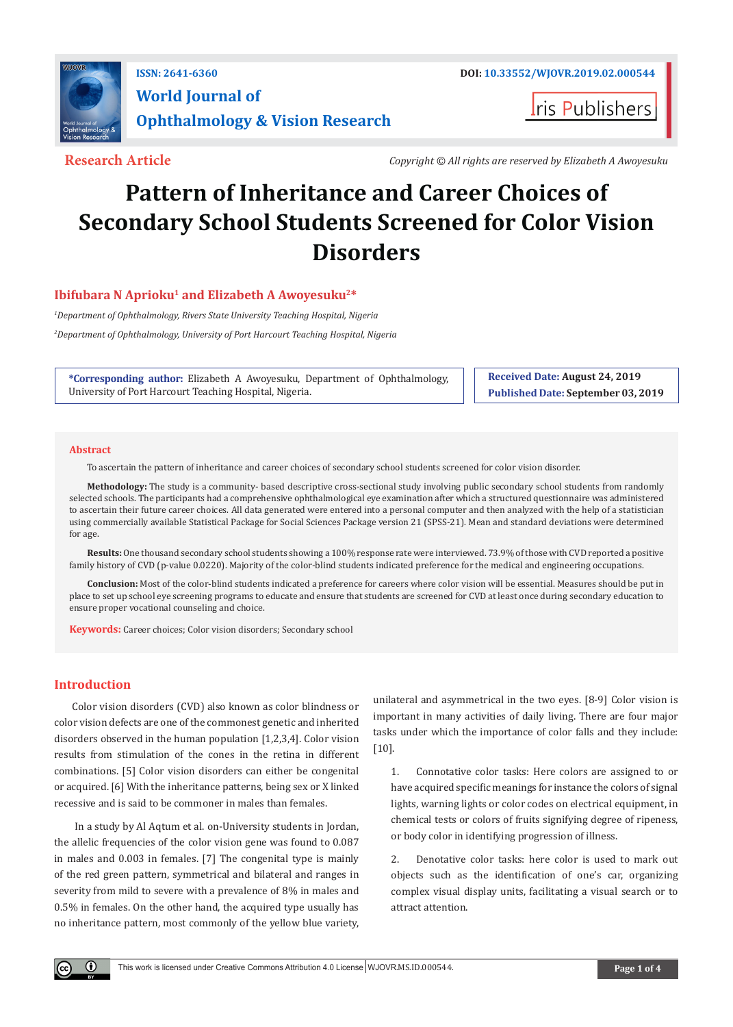

**I**ris Publishers

**Research Article** *Copyright © All rights are reserved by Elizabeth A Awoyesuku*

# **Pattern of Inheritance and Career Choices of Secondary School Students Screened for Color Vision Disorders**

## Ibifubara N Aprioku<sup>1</sup> and Elizabeth A Awoyesuku<sup>2\*</sup>

*1 Department of Ophthalmology, Rivers State University Teaching Hospital, Nigeria 2 Department of Ophthalmology, University of Port Harcourt Teaching Hospital, Nigeria*

**\*Corresponding author:** Elizabeth A Awoyesuku, Department of Ophthalmology, University of Port Harcourt Teaching Hospital, Nigeria.

**Received Date: August 24, 2019 Published Date: September 03, 2019**

#### **Abstract**

To ascertain the pattern of inheritance and career choices of secondary school students screened for color vision disorder.

**Methodology:** The study is a community- based descriptive cross-sectional study involving public secondary school students from randomly selected schools. The participants had a comprehensive ophthalmological eye examination after which a structured questionnaire was administered to ascertain their future career choices. All data generated were entered into a personal computer and then analyzed with the help of a statistician using commercially available Statistical Package for Social Sciences Package version 21 (SPSS-21). Mean and standard deviations were determined for age.

**Results:** One thousand secondary school students showing a 100% response rate were interviewed. 73.9% of those with CVD reported a positive family history of CVD (p-value 0.0220). Majority of the color-blind students indicated preference for the medical and engineering occupations.

**Conclusion:** Most of the color-blind students indicated a preference for careers where color vision will be essential. Measures should be put in place to set up school eye screening programs to educate and ensure that students are screened for CVD at least once during secondary education to ensure proper vocational counseling and choice.

**Keywords:** Career choices; Color vision disorders; Secondary school

### **Introduction**

 $\bf \odot$ 

Color vision disorders (CVD) also known as color blindness or color vision defects are one of the commonest genetic and inherited disorders observed in the human population [1,2,3,4]. Color vision results from stimulation of the cones in the retina in different combinations. [5] Color vision disorders can either be congenital or acquired. [6] With the inheritance patterns, being sex or X linked recessive and is said to be commoner in males than females.

 In a study by Al Aqtum et al. on-University students in Jordan, the allelic frequencies of the color vision gene was found to 0.087 in males and 0.003 in females. [7] The congenital type is mainly of the red green pattern, symmetrical and bilateral and ranges in severity from mild to severe with a prevalence of 8% in males and 0.5% in females. On the other hand, the acquired type usually has no inheritance pattern, most commonly of the yellow blue variety, unilateral and asymmetrical in the two eyes. [8-9] Color vision is important in many activities of daily living. There are four major tasks under which the importance of color falls and they include: [10].

1. Connotative color tasks: Here colors are assigned to or have acquired specific meanings for instance the colors of signal lights, warning lights or color codes on electrical equipment, in chemical tests or colors of fruits signifying degree of ripeness, or body color in identifying progression of illness.

2. Denotative color tasks: here color is used to mark out objects such as the identification of one's car, organizing complex visual display units, facilitating a visual search or to attract attention.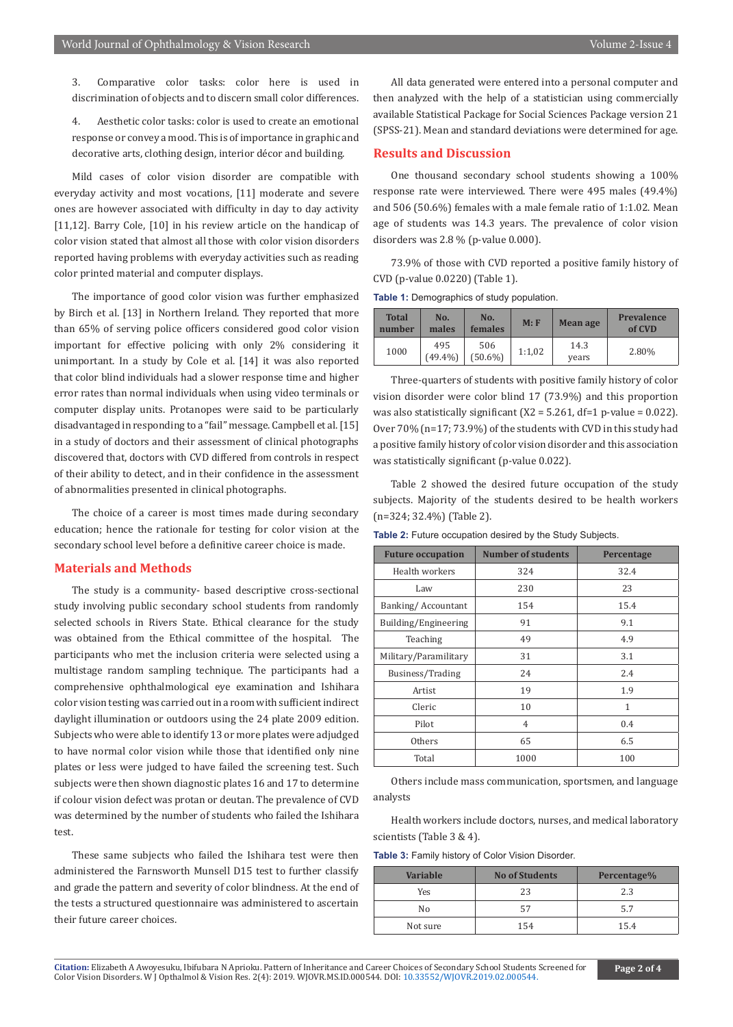3. Comparative color tasks: color here is used in discrimination of objects and to discern small color differences.

4. Aesthetic color tasks: color is used to create an emotional response or convey a mood. This is of importance in graphic and decorative arts, clothing design, interior décor and building.

Mild cases of color vision disorder are compatible with everyday activity and most vocations, [11] moderate and severe ones are however associated with difficulty in day to day activity [11,12]. Barry Cole, [10] in his review article on the handicap of color vision stated that almost all those with color vision disorders reported having problems with everyday activities such as reading color printed material and computer displays.

The importance of good color vision was further emphasized by Birch et al. [13] in Northern Ireland. They reported that more than 65% of serving police officers considered good color vision important for effective policing with only 2% considering it unimportant. In a study by Cole et al. [14] it was also reported that color blind individuals had a slower response time and higher error rates than normal individuals when using video terminals or computer display units. Protanopes were said to be particularly disadvantaged in responding to a "fail" message. Campbell et al. [15] in a study of doctors and their assessment of clinical photographs discovered that, doctors with CVD differed from controls in respect of their ability to detect, and in their confidence in the assessment of abnormalities presented in clinical photographs.

The choice of a career is most times made during secondary education; hence the rationale for testing for color vision at the secondary school level before a definitive career choice is made.

#### **Materials and Methods**

The study is a community- based descriptive cross-sectional study involving public secondary school students from randomly selected schools in Rivers State. Ethical clearance for the study was obtained from the Ethical committee of the hospital. The participants who met the inclusion criteria were selected using a multistage random sampling technique. The participants had a comprehensive ophthalmological eye examination and Ishihara color vision testing was carried out in a room with sufficient indirect daylight illumination or outdoors using the 24 plate 2009 edition. Subjects who were able to identify 13 or more plates were adjudged to have normal color vision while those that identified only nine plates or less were judged to have failed the screening test. Such subjects were then shown diagnostic plates 16 and 17 to determine if colour vision defect was protan or deutan. The prevalence of CVD was determined by the number of students who failed the Ishihara test.

These same subjects who failed the Ishihara test were then administered the Farnsworth Munsell D15 test to further classify and grade the pattern and severity of color blindness. At the end of the tests a structured questionnaire was administered to ascertain their future career choices.

All data generated were entered into a personal computer and then analyzed with the help of a statistician using commercially available Statistical Package for Social Sciences Package version 21 (SPSS-21). Mean and standard deviations were determined for age.

#### **Results and Discussion**

One thousand secondary school students showing a 100% response rate were interviewed. There were 495 males (49.4%) and 506 (50.6%) females with a male female ratio of 1:1.02. Mean age of students was 14.3 years. The prevalence of color vision disorders was 2.8 % (p-value 0.000).

73.9% of those with CVD reported a positive family history of CVD (p-value 0.0220) (Table 1).

**Table 1:** Demographics of study population.

| <b>Total</b><br>number | No.<br>males      | No.<br>females    | M: F   | <b>Mean age</b> | <b>Prevalence</b><br>of CVD |
|------------------------|-------------------|-------------------|--------|-----------------|-----------------------------|
| 1000                   | 495<br>$(49.4\%)$ | 506<br>$(50.6\%)$ | 1:1,02 | 14.3<br>years   | 2.80%                       |

Three-quarters of students with positive family history of color vision disorder were color blind 17 (73.9%) and this proportion was also statistically significant (X2 = 5.261, df=1 p-value = 0.022). Over 70% (n=17; 73.9%) of the students with CVD in this study had a positive family history of color vision disorder and this association was statistically significant (p-value 0.022).

Table 2 showed the desired future occupation of the study subjects. Majority of the students desired to be health workers (n=324; 32.4%) (Table 2).

**Table 2:** Future occupation desired by the Study Subjects.

| <b>Future occupation</b> | <b>Number of students</b> | Percentage |
|--------------------------|---------------------------|------------|
| Health workers           | 324                       | 32.4       |
| Law                      | 230                       | 23         |
| Banking/Accountant       | 154                       | 15.4       |
| Building/Engineering     | 91                        | 9.1        |
| Teaching                 | 49                        | 4.9        |
| Military/Paramilitary    | 31                        | 3.1        |
| Business/Trading         | 24                        | 2.4        |
| Artist                   | 19                        | 1.9        |
| Cleric                   | 10                        | 1          |
| Pilot                    | $\overline{4}$            | 0.4        |
| Others                   | 65                        | 6.5        |
| Total                    | 1000                      | 100        |

Others include mass communication, sportsmen, and language analysts

Health workers include doctors, nurses, and medical laboratory scientists (Table 3 & 4).

**Table 3:** Family history of Color Vision Disorder.

| Variable | <b>No of Students</b> | Percentage% |
|----------|-----------------------|-------------|
| Yes      | 23                    | 2.3         |
| No       | 57                    | 5.7         |
| Not sure | 154                   | 15.4        |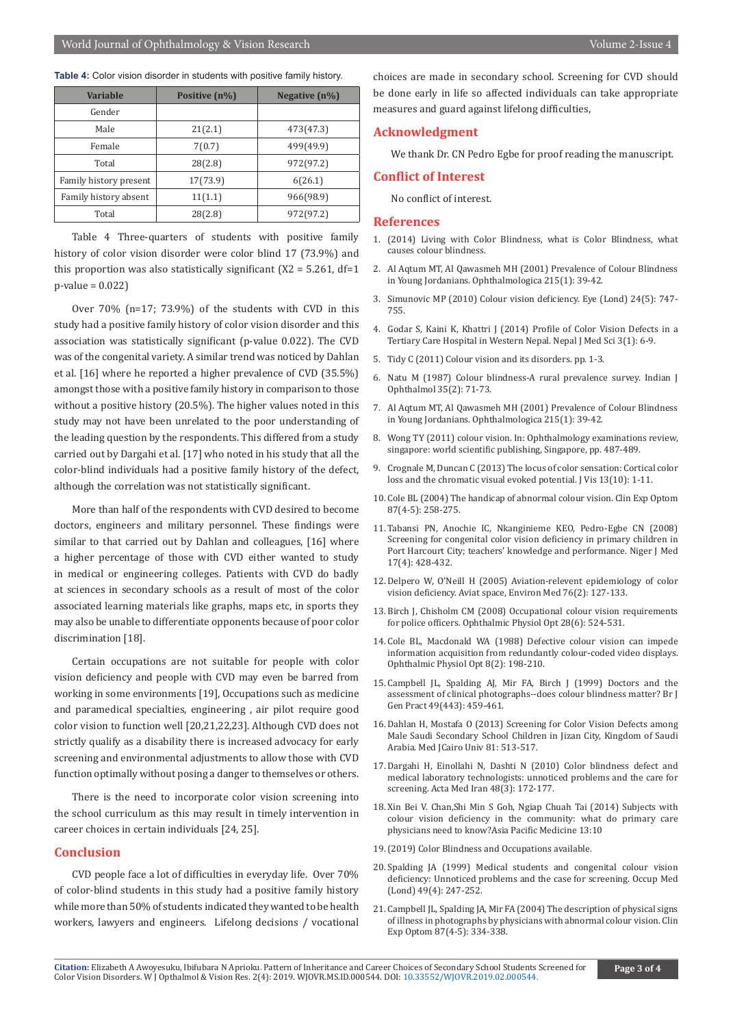| <b>Table 4:</b> Color vision disorder in students with positive family history. |  |
|---------------------------------------------------------------------------------|--|
|---------------------------------------------------------------------------------|--|

| <b>Variable</b>        | Positive (n%) | Negative $(n\%)$ |
|------------------------|---------------|------------------|
| Gender                 |               |                  |
| Male                   | 21(2.1)       | 473(47.3)        |
| Female                 | 7(0.7)        | 499(49.9)        |
| Total                  | 28(2.8)       | 972(97.2)        |
| Family history present | 17(73.9)      | 6(26.1)          |
| Family history absent  | 11(1.1)       | 966(98.9)        |
| Total                  | 28(2.8)       | 972(97.2)        |

Table 4 Three-quarters of students with positive family history of color vision disorder were color blind 17 (73.9%) and this proportion was also statistically significant  $(X2 = 5.261, df=1$ p-value = 0.022)

Over 70% (n=17; 73.9%) of the students with CVD in this study had a positive family history of color vision disorder and this association was statistically significant (p-value 0.022). The CVD was of the congenital variety. A similar trend was noticed by Dahlan et al. [16] where he reported a higher prevalence of CVD (35.5%) amongst those with a positive family history in comparison to those without a positive history (20.5%). The higher values noted in this study may not have been unrelated to the poor understanding of the leading question by the respondents. This differed from a study carried out by Dargahi et al. [17] who noted in his study that all the color-blind individuals had a positive family history of the defect, although the correlation was not statistically significant.

More than half of the respondents with CVD desired to become doctors, engineers and military personnel. These findings were similar to that carried out by Dahlan and colleagues, [16] where a higher percentage of those with CVD either wanted to study in medical or engineering colleges. Patients with CVD do badly at sciences in secondary schools as a result of most of the color associated learning materials like graphs, maps etc, in sports they may also be unable to differentiate opponents because of poor color discrimination [18].

Certain occupations are not suitable for people with color vision deficiency and people with CVD may even be barred from working in some environments [19], Occupations such as medicine and paramedical specialties, engineering , air pilot require good color vision to function well [20,21,22,23]. Although CVD does not strictly qualify as a disability there is increased advocacy for early screening and environmental adjustments to allow those with CVD function optimally without posing a danger to themselves or others.

There is the need to incorporate color vision screening into the school curriculum as this may result in timely intervention in career choices in certain individuals [24, 25].

#### **Conclusion**

CVD people face a lot of difficulties in everyday life. Over 70% of color-blind students in this study had a positive family history while more than 50% of students indicated they wanted to be health workers, lawyers and engineers. Lifelong decisions / vocational choices are made in secondary school. Screening for CVD should be done early in life so affected individuals can take appropriate measures and guard against lifelong difficulties,

#### **Acknowledgment**

We thank Dr. CN Pedro Egbe for proof reading the manuscript.

#### **Conflict of Interest**

No conflict of interest.

#### **References**

- 1. (2014) Living with Color Blindness, what is Color Blindness, what causes colour blindness.
- 2. [Al Aqtum MT, Al Qawasmeh MH \(2001\) Prevalence of Colour Blindness](https://www.ncbi.nlm.nih.gov/pubmed/11125268)  [in Young Jordanians. Ophthalmologica 215\(1\): 39-42.](https://www.ncbi.nlm.nih.gov/pubmed/11125268)
- 3. [Simunovic MP \(2010\) Colour vision deficiency. Eye \(Lond\) 24\(5\): 747-](https://www.ncbi.nlm.nih.gov/pubmed/19927164) [755.](https://www.ncbi.nlm.nih.gov/pubmed/19927164)
- 4. Godar S, Kaini K, Khattri J (2014) Profile of Color Vision Defects in a Tertiary Care Hospital in Western Nepal. Nepal J Med Sci 3(1): 6-9.
- 5. Tidy C (2011) Colour vision and its disorders. pp. 1-3.
- 6. [Natu M \(1987\) Colour blindness-A rural prevalence survey. Indian J](https://www.ncbi.nlm.nih.gov/pubmed/3502467https:/www.ncbi.nlm.nih.gov/pubmed/3502467)  [Ophthalmol 35\(2\): 71-73.](https://www.ncbi.nlm.nih.gov/pubmed/3502467https:/www.ncbi.nlm.nih.gov/pubmed/3502467)
- 7. [Al Aqtum MT, Al Qawasmeh MH \(2001\) Prevalence of Colour Blindness](https://www.ncbi.nlm.nih.gov/pubmed/11125268)  [in Young Jordanians. Ophthalmologica 215\(1\): 39-42.](https://www.ncbi.nlm.nih.gov/pubmed/11125268)
- 8. Wong TY (2011) colour vision. In: Ophthalmology examinations review, singapore: world scientific publishing, Singapore, pp. 487-489.
- 9. [Crognale M, Duncan C \(2013\) The locus of color sensation: Cortical color](https://www.ncbi.nlm.nih.gov/pubmed/23986535)  [loss and the chromatic visual evoked potential. J Vis 13\(10\): 1-11.](https://www.ncbi.nlm.nih.gov/pubmed/23986535)
- 10. [Cole BL \(2004\) The handicap of abnormal colour vision. Clin Exp Optom](https://www.ncbi.nlm.nih.gov/pubmed/15312030)  [87\(4-5\): 258-275.](https://www.ncbi.nlm.nih.gov/pubmed/15312030)
- 11. [Tabansi PN, Anochie IC, Nkanginieme KEO, Pedro-Egbe CN \(2008\)](https://www.ncbi.nlm.nih.gov/pubmed/19048761)  [Screening for congenital color vision deficiency in primary children in](https://www.ncbi.nlm.nih.gov/pubmed/19048761)  [Port Harcourt City; teachers' knowledge and performance. Niger J Med](https://www.ncbi.nlm.nih.gov/pubmed/19048761)  [17\(4\): 428-432.](https://www.ncbi.nlm.nih.gov/pubmed/19048761)
- 12. [Delpero W, O'Neill H \(2005\) Aviation-relevent epidemiology of color](https://www.ncbi.nlm.nih.gov/pubmed/15742829)  [vision deficiency. Aviat space, Environ Med 76\(2\): 127-133.](https://www.ncbi.nlm.nih.gov/pubmed/15742829)
- 13. [Birch J, Chisholm CM \(2008\) Occupational colour vision requirements](https://www.ncbi.nlm.nih.gov/pubmed/19076554)  [for police officers. Ophthalmic Physiol Opt 28\(6\): 524-531.](https://www.ncbi.nlm.nih.gov/pubmed/19076554)
- 14. [Cole BL, Macdonald WA \(1988\) Defective colour vision can impede](https://www.ncbi.nlm.nih.gov/pubmed/3264900)  [information acquisition from redundantly colour-coded video displays.](https://www.ncbi.nlm.nih.gov/pubmed/3264900)  [Ophthalmic Physiol Opt 8\(2\): 198-210.](https://www.ncbi.nlm.nih.gov/pubmed/3264900)
- 15. [Campbell JL, Spalding AJ, Mir FA, Birch J \(1999\) Doctors and the](https://www.ncbi.nlm.nih.gov/pubmed/10562746)  [assessment of clinical photographs--does colour blindness matter? Br J](https://www.ncbi.nlm.nih.gov/pubmed/10562746)  [Gen Pract 49\(443\): 459-461.](https://www.ncbi.nlm.nih.gov/pubmed/10562746)
- 16. Dahlan H, Mostafa O (2013) Screening for Color Vision Defects among Male Saudi Secondary School Children in Jizan City, Kingdom of Saudi Arabia. Med JCairo Univ 81: 513-517.
- 17. [Dargahi H, Einollahi N, Dashti N \(2010\) Color blindness defect and](https://www.ncbi.nlm.nih.gov/pubmed/21137654)  [medical laboratory technologists: unnoticed problems and the care for](https://www.ncbi.nlm.nih.gov/pubmed/21137654)  [screening. Acta Med Iran 48\(3\): 172-177.](https://www.ncbi.nlm.nih.gov/pubmed/21137654)
- 18. Xin Bei V. Chan,Shi Min S Goh, Ngiap Chuah Tai (2014) Subjects with colour vision deficiency in the community: what do primary care physicians need to know?Asia Pacific Medicine 13:10
- 19.(2019) Color Blindness and Occupations available.
- 20. [Spalding JA \(1999\) Medical students and congenital colour vision](https://www.ncbi.nlm.nih.gov/pubmed/10474917)  [deficiency: Unnoticed problems and the case for screening. Occup Med](https://www.ncbi.nlm.nih.gov/pubmed/10474917)  [\(Lond\) 49\(4\): 247-252.](https://www.ncbi.nlm.nih.gov/pubmed/10474917)
- 21. [Campbell JL, Spalding JA, Mir FA \(2004\) The description of physical signs](https://www.ncbi.nlm.nih.gov/pubmed/15312036)  [of illness in photographs by physicians with abnormal colour vision. Clin](https://www.ncbi.nlm.nih.gov/pubmed/15312036)  [Exp Optom 87\(4-5\): 334-338.](https://www.ncbi.nlm.nih.gov/pubmed/15312036)